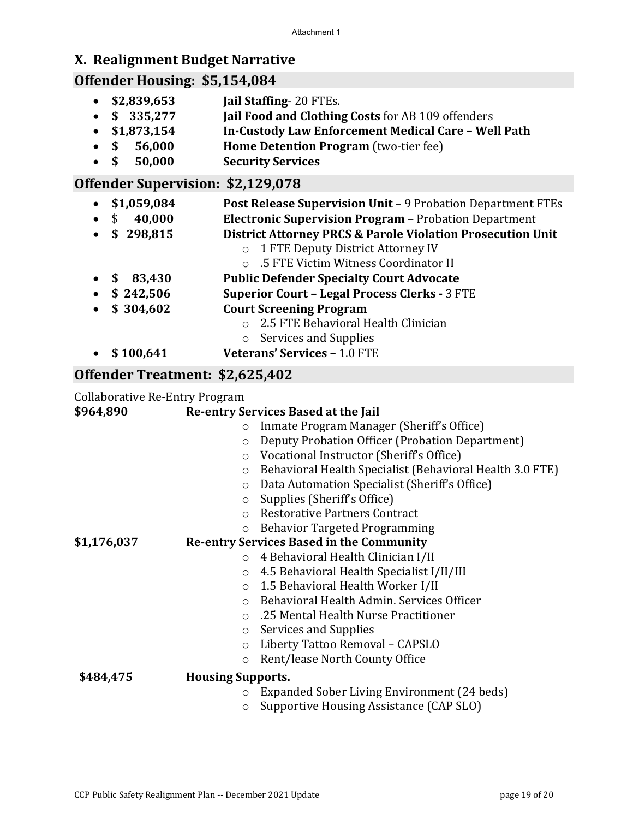# **X. Realignment Budget Narrative**

# **Offender Housing: \$5,154,084**

- **\$2,839,653 Jail Staffing** 20 FTEs.
- **\$ 335,277 Jail Food and Clothing Costs** for AB 109 offenders
- **\$1,873,154 In-Custody Law Enforcement Medical Care – Well Path**
- **\$ 56,000 Home Detention Program** (two-tier fee)
- **\$ 50,000 Security Services**

### **Offender Supervision: \$2,129,078**

- **\$1,059,084 Post Release Supervision Unit** 9 Probation Department FTEs • \$ **40,000 Electronic Supervision Program** – Probation Department • **\$ 298,815 District Attorney PRCS & Parole Violation Prosecution Unit** o 1 FTE Deputy District Attorney IV o .5 FTE Victim Witness Coordinator II • **\$ 83,430 Public Defender Specialty Court Advocate** • **\$ 242,506 Superior Court – Legal Process Clerks -** 3 FTE • **\$ 304,602 Court Screening Program** o 2.5 FTE Behavioral Health Clinician o Services and Supplies • **\$ 100,641 Veterans' Services –** 1.0 FTE
- 

### **Offender Treatment: \$2,625,402**

#### Collaborative Re-Entry Program

| \$964,890   | Re-entry Services Based at the Jail                                 |
|-------------|---------------------------------------------------------------------|
|             | Inmate Program Manager (Sheriff's Office)<br>$\circ$                |
|             | Deputy Probation Officer (Probation Department)<br>$\circ$          |
|             | Vocational Instructor (Sheriff's Office)<br>$\circ$                 |
|             | Behavioral Health Specialist (Behavioral Health 3.0 FTE)<br>$\circ$ |
|             | Data Automation Specialist (Sheriff's Office)<br>$\circ$            |
|             | Supplies (Sheriff's Office)<br>$\circ$                              |
|             | <b>Restorative Partners Contract</b><br>$\circ$                     |
|             | <b>Behavior Targeted Programming</b><br>$\circ$                     |
| \$1,176,037 | <b>Re-entry Services Based in the Community</b>                     |
|             | 4 Behavioral Health Clinician I/II<br>$\circ$                       |
|             | 4.5 Behavioral Health Specialist I/II/III<br>$\circ$                |
|             | 1.5 Behavioral Health Worker I/II<br>$\circ$                        |
|             | Behavioral Health Admin. Services Officer<br>$\Omega$               |
|             | .25 Mental Health Nurse Practitioner<br>$\Omega$                    |
|             | Services and Supplies<br>$\circ$                                    |
|             | Liberty Tattoo Removal - CAPSLO<br>$\circ$                          |
|             | Rent/lease North County Office<br>$\circ$                           |
| \$484,475   | <b>Housing Supports.</b>                                            |
|             | Expanded Sober Living Environment (24 beds)<br>$\circ$              |
|             | Supportive Housing Assistance (CAP SLO)<br>$\circ$                  |
|             |                                                                     |